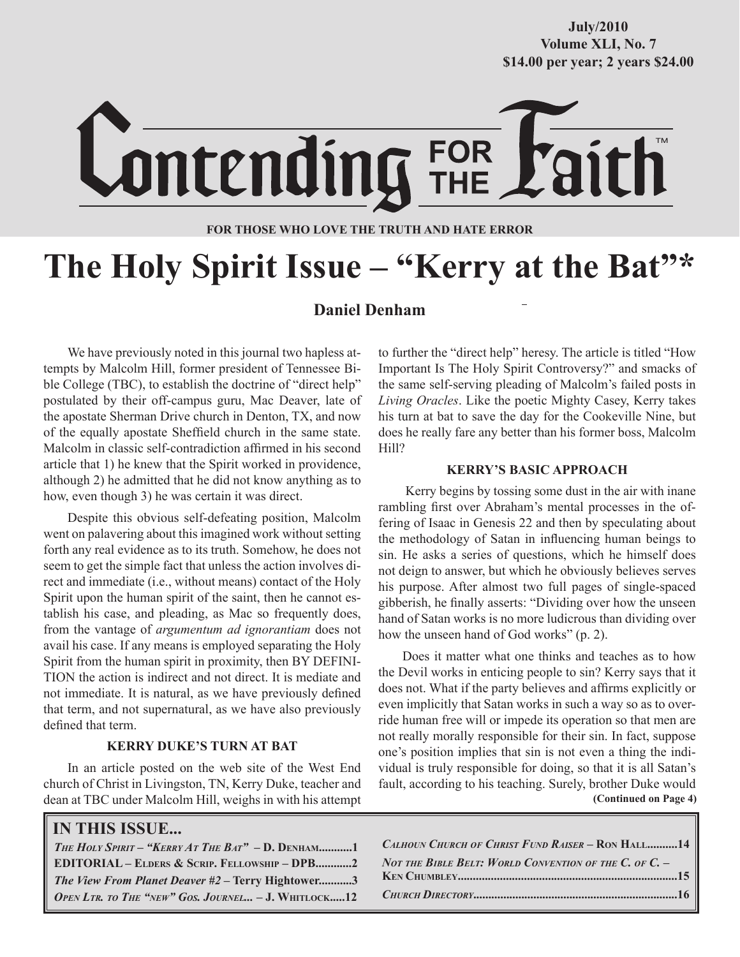### **October/2007 Volume XLI, No. 7 Volume XXXVIII, No. 10 \$14.00 per year; 2 years \$24.00 \$14.00 per year; 2 years \$24.00 July/2010**



#### **FOR THOSE WHO LOVE THE TRUTH AND HATE ERROR**

# **The Holy Spirit Issue – "Kerry at the Bat"\***

#### **Daniel Denham**

We have previously noted in this journal two hapless attempts by Malcolm Hill, former president of Tennessee Bible College (TBC), to establish the doctrine of "direct help" postulated by their off-campus guru, Mac Deaver, late of the apostate Sherman Drive church in Denton, TX, and now of the equally apostate Sheffield church in the same state. Malcolm in classic self-contradiction affirmed in his second article that 1) he knew that the Spirit worked in providence, although 2) he admitted that he did not know anything as to how, even though 3) he was certain it was direct.

Despite this obvious self-defeating position, Malcolm went on palavering about this imagined work without setting forth any real evidence as to its truth. Somehow, he does not seem to get the simple fact that unless the action involves direct and immediate (i.e., without means) contact of the Holy Spirit upon the human spirit of the saint, then he cannot establish his case, and pleading, as Mac so frequently does, from the vantage of *argumentum ad ignorantiam* does not avail his case. If any means is employed separating the Holy Spirit from the human spirit in proximity, then BY DEFINI-TION the action is indirect and not direct. It is mediate and not immediate. It is natural, as we have previously defined that term, and not supernatural, as we have also previously defined that term.

#### **KERRY DUKE'S TURN AT BAT**

In an article posted on the web site of the West End church of Christ in Livingston, TN, Kerry Duke, teacher and dean at TBC under Malcolm Hill, weighs in with his attempt

#### to further the "direct help" heresy. The article is titled "How Important Is The Holy Spirit Controversy?" and smacks of the same self-serving pleading of Malcolm's failed posts in *Living Oracles*. Like the poetic Mighty Casey, Kerry takes his turn at bat to save the day for the Cookeville Nine, but does he really fare any better than his former boss, Malcolm Hill?

#### **KERRY'S BASIC APPROACH**

 Kerry begins by tossing some dust in the air with inane rambling first over Abraham's mental processes in the offering of Isaac in Genesis 22 and then by speculating about the methodology of Satan in influencing human beings to sin. He asks a series of questions, which he himself does not deign to answer, but which he obviously believes serves his purpose. After almost two full pages of single-spaced gibberish, he finally asserts: "Dividing over how the unseen hand of Satan works is no more ludicrous than dividing over how the unseen hand of God works" (p. 2).

 **(Continued on Page 4)** Does it matter what one thinks and teaches as to how the Devil works in enticing people to sin? Kerry says that it does not. What if the party believes and affirms explicitly or even implicitly that Satan works in such a way so as to override human free will or impede its operation so that men are not really morally responsible for their sin. In fact, suppose one's position implies that sin is not even a thing the individual is truly responsible for doing, so that it is all Satan's fault, according to his teaching. Surely, brother Duke would

| <b>IN THIS ISSUE</b> |  |
|----------------------|--|
|----------------------|--|

| THE HOLY SPIRIT - "KERRY AT THE $BAT$ " - D. DENHAM1     |
|----------------------------------------------------------|
| <b>EDITORIAL - ELDERS &amp; SCRIP. FELLOWSHIP - DPB2</b> |
| The View From Planet Deaver #2 - Terry Hightower3        |
| OPEN LTR. TO THE "NEW" GOS. JOURNEL $-$ J. WHITLOCK12    |

*CALHOUN CHURCH OF CHRIST FUND RAISER* **– RON HALL..........14** *NOT THE BIBLE BELT: WORLD CONVENTION OF THE C. OF C.* **– KEN CHUMBLEY.........................................................................15** *CHURCH DIRECTORY***....................................................................16**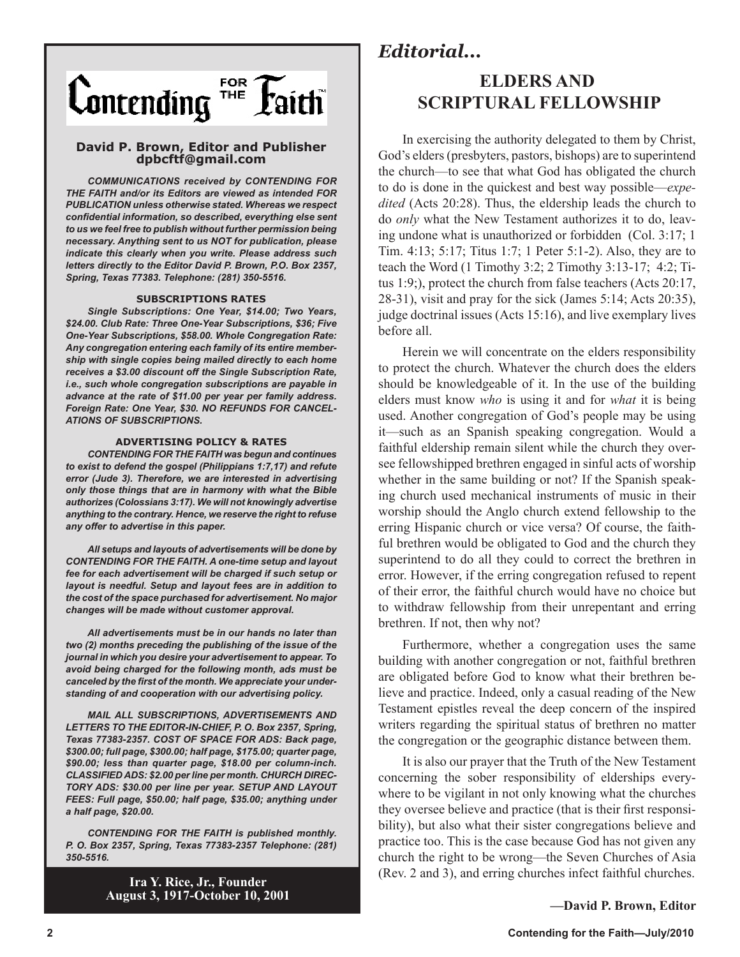

#### **David P. Brown, Editor and Publisher dpbcftf@gmail.com**

*COMMUNICATIONS received by CONTENDING FOR THE FAITH and/or its Editors are viewed as intended FOR PUBLICATION unless otherwise stated. Whereas we respect confidential information, so described, everything else sent to us we feel free to publish without further permission being necessary. Anything sent to us NOT for publication, please indicate this clearly when you write. Please address such letters directly to the Editor David P. Brown, P.O. Box 2357, Spring, Texas 77383. Telephone: (281) 350-5516.*

#### **SUBSCRIPTIONS RATES**

*Single Subscriptions: One Year, \$14.00; Two Years, \$24.00. Club Rate: Three One-Year Subscriptions, \$36; Five One-Year Subscriptions, \$58.00. Whole Congregation Rate: Any congregation entering each family of its entire membership with single copies being mailed directly to each home receives a \$3.00 discount off the Single Subscription Rate, i.e., such whole congregation subscriptions are payable in advance at the rate of \$11.00 per year per family address. Foreign Rate: One Year, \$30. NO REFUNDS FOR CANCEL-ATIONS OF SUBSCRIPTIONS.*

#### **ADVERTISING POLICY & RATES**

*CONTENDING FOR THE FAITH was begun and continues to exist to defend the gospel (Philippians 1:7,17) and refute error (Jude 3). Therefore, we are interested in advertising only those things that are in harmony with what the Bible authorizes (Colossians 3:17). We will not knowingly advertise anything to the contrary. Hence, we reserve the right to refuse any offer to advertise in this paper.*

*All setups and layouts of advertisements will be done by CONTENDING FOR THE FAITH. A one-time setup and layout fee for each advertisement will be charged if such setup or layout is needful. Setup and layout fees are in addition to the cost of the space purchased for advertisement. No major changes will be made without customer approval.*

*All advertisements must be in our hands no later than two (2) months preceding the publishing of the issue of the journal in which you desire your advertisement to appear. To avoid being charged for the following month, ads must be canceled by the first of the month. We appreciate your understanding of and cooperation with our advertising policy.*

*MAIL ALL SUBSCRIPTIONS, ADVERTISEMENTS AND LETTERS TO THE EDITOR-IN-CHIEF, P. O. Box 2357, Spring, Texas 77383-2357. COST OF SPACE FOR ADS: Back page, \$300.00; full page, \$300.00; half page, \$175.00; quarter page, \$90.00; less than quarter page, \$18.00 per column-inch. CLASSIFIED ADS: \$2.00 per line per month. CHURCH DIREC-TORY ADS: \$30.00 per line per year. SETUP AND LAYOUT FEES: Full page, \$50.00; half page, \$35.00; anything under a half page, \$20.00.*

*CONTENDING FOR THE FAITH is published monthly. P. O. Box 2357, Spring, Texas 77383-2357 Telephone: (281) 350-5516.*

> **Ira Y. Rice, Jr., Founder August 3, 1917-October 10, 2001**

### *Editorial...*

### **ELDERS AND SCRIPTURAL FELLOWSHIP**

In exercising the authority delegated to them by Christ, God's elders (presbyters, pastors, bishops) are to superintend the church—to see that what God has obligated the church to do is done in the quickest and best way possible—*expedited* (Acts 20:28). Thus, the eldership leads the church to do *only* what the New Testament authorizes it to do, leaving undone what is unauthorized or forbidden (Col. 3:17; 1 Tim. 4:13; 5:17; Titus 1:7; 1 Peter 5:1-2). Also, they are to teach the Word (1 Timothy 3:2; 2 Timothy 3:13-17; 4:2; Titus 1:9;), protect the church from false teachers (Acts 20:17, 28-31), visit and pray for the sick (James 5:14; Acts 20:35), judge doctrinal issues (Acts 15:16), and live exemplary lives before all.

Herein we will concentrate on the elders responsibility to protect the church. Whatever the church does the elders should be knowledgeable of it. In the use of the building elders must know *who* is using it and for *what* it is being used. Another congregation of God's people may be using it—such as an Spanish speaking congregation. Would a faithful eldership remain silent while the church they oversee fellowshipped brethren engaged in sinful acts of worship whether in the same building or not? If the Spanish speaking church used mechanical instruments of music in their worship should the Anglo church extend fellowship to the erring Hispanic church or vice versa? Of course, the faithful brethren would be obligated to God and the church they superintend to do all they could to correct the brethren in error. However, if the erring congregation refused to repent of their error, the faithful church would have no choice but to withdraw fellowship from their unrepentant and erring brethren. If not, then why not?

Furthermore, whether a congregation uses the same building with another congregation or not, faithful brethren are obligated before God to know what their brethren believe and practice. Indeed, only a casual reading of the New Testament epistles reveal the deep concern of the inspired writers regarding the spiritual status of brethren no matter the congregation or the geographic distance between them.

It is also our prayer that the Truth of the New Testament concerning the sober responsibility of elderships everywhere to be vigilant in not only knowing what the churches they oversee believe and practice (that is their first responsibility), but also what their sister congregations believe and practice too. This is the case because God has not given any church the right to be wrong—the Seven Churches of Asia (Rev. 2 and 3), and erring churches infect faithful churches.

**—David P. Brown, Editor**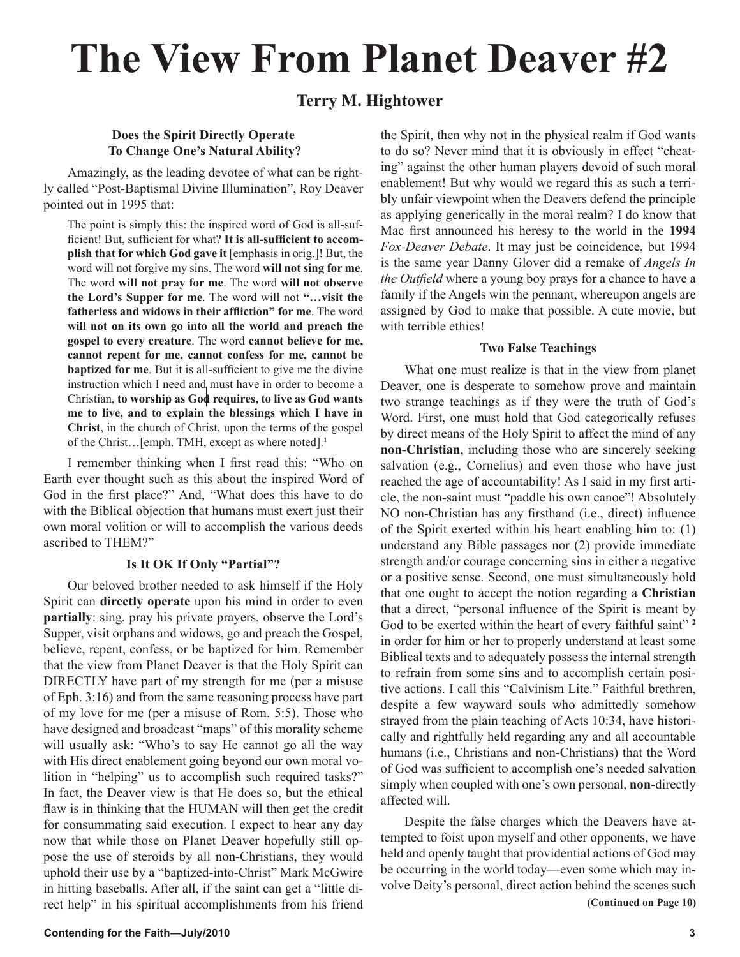# **The View From Planet Deaver #2**

### **Terry M. Hightower**

#### **Does the Spirit Directly Operate To Change One's Natural Ability?**

Amazingly, as the leading devotee of what can be rightly called "Post-Baptismal Divine Illumination", Roy Deaver pointed out in 1995 that:

The point is simply this: the inspired word of God is all-sufficient! But, sufficient for what? **It is all-sufficient to accomplish that for which God gave it** [emphasis in orig.]! But, the word will not forgive my sins. The word **will not sing for me**. The word **will not pray for me**. The word **will not observe the Lord's Supper for me**. The word will not **"…visit the fatherless and widows in their affliction" for me**. The word **will not on its own go into all the world and preach the gospel to every creature**. The word **cannot believe for me, cannot repent for me, cannot confess for me, cannot be baptized for me**. But it is all-sufficient to give me the divine instruction which I need and must have in order to become a Christian, **to worship as God requires, to live as God wants me to live, and to explain the blessings which I have in Christ**, in the church of Christ, upon the terms of the gospel of the Christ…[emph. TMH, except as where noted].**<sup>1</sup>**

I remember thinking when I first read this: "Who on Earth ever thought such as this about the inspired Word of God in the first place?" And, "What does this have to do with the Biblical objection that humans must exert just their own moral volition or will to accomplish the various deeds ascribed to THEM?"

#### **Is It OK If Only "Partial"?**

Our beloved brother needed to ask himself if the Holy Spirit can **directly operate** upon his mind in order to even **partially**: sing, pray his private prayers, observe the Lord's Supper, visit orphans and widows, go and preach the Gospel, believe, repent, confess, or be baptized for him. Remember that the view from Planet Deaver is that the Holy Spirit can DIRECTLY have part of my strength for me (per a misuse of Eph. 3:16) and from the same reasoning process have part of my love for me (per a misuse of Rom. 5:5). Those who have designed and broadcast "maps" of this morality scheme will usually ask: "Who's to say He cannot go all the way with His direct enablement going beyond our own moral volition in "helping" us to accomplish such required tasks?" In fact, the Deaver view is that He does so, but the ethical flaw is in thinking that the HUMAN will then get the credit for consummating said execution. I expect to hear any day now that while those on Planet Deaver hopefully still oppose the use of steroids by all non-Christians, they would uphold their use by a "baptized-into-Christ" Mark McGwire in hitting baseballs. After all, if the saint can get a "little direct help" in his spiritual accomplishments from his friend

the Spirit, then why not in the physical realm if God wants to do so? Never mind that it is obviously in effect "cheating" against the other human players devoid of such moral enablement! But why would we regard this as such a terribly unfair viewpoint when the Deavers defend the principle as applying generically in the moral realm? I do know that Mac first announced his heresy to the world in the **1994** *Fox-Deaver Debate*. It may just be coincidence, but 1994 is the same year Danny Glover did a remake of *Angels In the Outfield* where a young boy prays for a chance to have a family if the Angels win the pennant, whereupon angels are assigned by God to make that possible. A cute movie, but with terrible ethics!

#### **Two False Teachings**

What one must realize is that in the view from planet Deaver, one is desperate to somehow prove and maintain two strange teachings as if they were the truth of God's Word. First, one must hold that God categorically refuses by direct means of the Holy Spirit to affect the mind of any **non-Christian**, including those who are sincerely seeking salvation (e.g., Cornelius) and even those who have just reached the age of accountability! As I said in my first article, the non-saint must "paddle his own canoe"! Absolutely NO non-Christian has any firsthand (i.e., direct) influence of the Spirit exerted within his heart enabling him to: (1) understand any Bible passages nor (2) provide immediate strength and/or courage concerning sins in either a negative or a positive sense. Second, one must simultaneously hold that one ought to accept the notion regarding a **Christian** that a direct, "personal influence of the Spirit is meant by God to be exerted within the heart of every faithful saint" **<sup>2</sup>** in order for him or her to properly understand at least some Biblical texts and to adequately possess the internal strength to refrain from some sins and to accomplish certain positive actions. I call this "Calvinism Lite." Faithful brethren, despite a few wayward souls who admittedly somehow strayed from the plain teaching of Acts 10:34, have historically and rightfully held regarding any and all accountable humans (i.e., Christians and non-Christians) that the Word of God was sufficient to accomplish one's needed salvation simply when coupled with one's own personal, **non**-directly affected will.

 Despite the false charges which the Deavers have attempted to foist upon myself and other opponents, we have held and openly taught that providential actions of God may be occurring in the world today—even some which may involve Deity's personal, direct action behind the scenes such  **(Continued on Page 10)**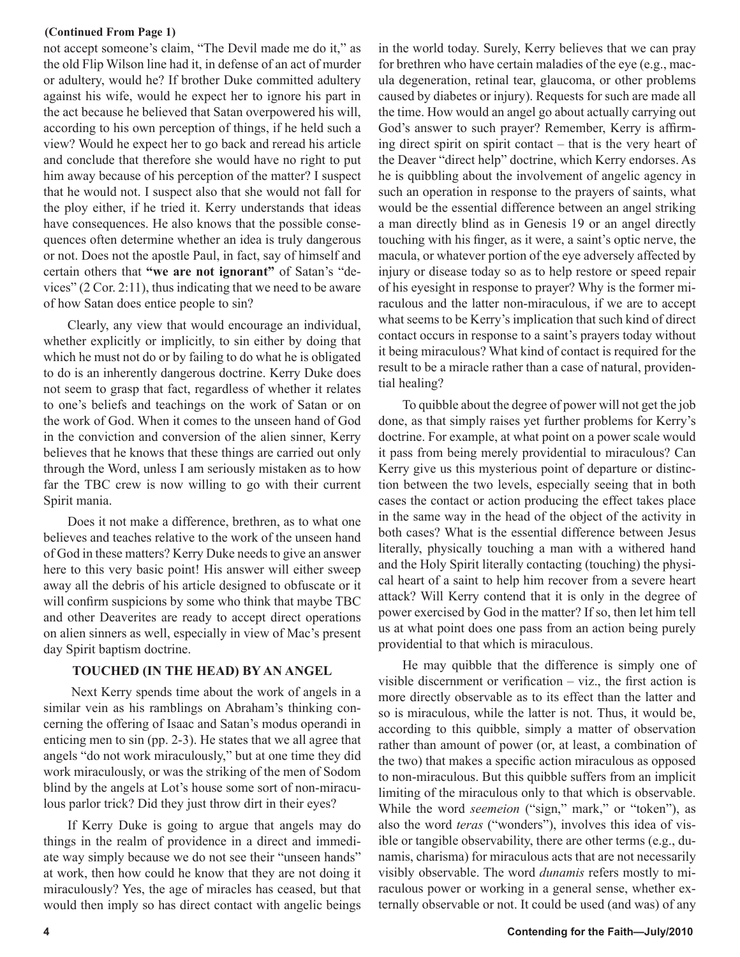#### **(Continued From Page 1)**

not accept someone's claim, "The Devil made me do it," as the old Flip Wilson line had it, in defense of an act of murder or adultery, would he? If brother Duke committed adultery against his wife, would he expect her to ignore his part in the act because he believed that Satan overpowered his will, according to his own perception of things, if he held such a view? Would he expect her to go back and reread his article and conclude that therefore she would have no right to put him away because of his perception of the matter? I suspect that he would not. I suspect also that she would not fall for the ploy either, if he tried it. Kerry understands that ideas have consequences. He also knows that the possible consequences often determine whether an idea is truly dangerous or not. Does not the apostle Paul, in fact, say of himself and certain others that **"we are not ignorant"** of Satan's "devices" (2 Cor. 2:11), thus indicating that we need to be aware of how Satan does entice people to sin?

Clearly, any view that would encourage an individual, whether explicitly or implicitly, to sin either by doing that which he must not do or by failing to do what he is obligated to do is an inherently dangerous doctrine. Kerry Duke does not seem to grasp that fact, regardless of whether it relates to one's beliefs and teachings on the work of Satan or on the work of God. When it comes to the unseen hand of God in the conviction and conversion of the alien sinner, Kerry believes that he knows that these things are carried out only through the Word, unless I am seriously mistaken as to how far the TBC crew is now willing to go with their current Spirit mania.

Does it not make a difference, brethren, as to what one believes and teaches relative to the work of the unseen hand of God in these matters? Kerry Duke needs to give an answer here to this very basic point! His answer will either sweep away all the debris of his article designed to obfuscate or it will confirm suspicions by some who think that maybe TBC and other Deaverites are ready to accept direct operations on alien sinners as well, especially in view of Mac's present day Spirit baptism doctrine.

#### **TOUCHED (IN THE HEAD) BY AN ANGEL**

 Next Kerry spends time about the work of angels in a similar vein as his ramblings on Abraham's thinking concerning the offering of Isaac and Satan's modus operandi in enticing men to sin (pp. 2-3). He states that we all agree that angels "do not work miraculously," but at one time they did work miraculously, or was the striking of the men of Sodom blind by the angels at Lot's house some sort of non-miraculous parlor trick? Did they just throw dirt in their eyes?

If Kerry Duke is going to argue that angels may do things in the realm of providence in a direct and immediate way simply because we do not see their "unseen hands" at work, then how could he know that they are not doing it miraculously? Yes, the age of miracles has ceased, but that would then imply so has direct contact with angelic beings in the world today. Surely, Kerry believes that we can pray for brethren who have certain maladies of the eye (e.g., macula degeneration, retinal tear, glaucoma, or other problems caused by diabetes or injury). Requests for such are made all the time. How would an angel go about actually carrying out God's answer to such prayer? Remember, Kerry is affirming direct spirit on spirit contact – that is the very heart of the Deaver "direct help" doctrine, which Kerry endorses. As he is quibbling about the involvement of angelic agency in such an operation in response to the prayers of saints, what would be the essential difference between an angel striking a man directly blind as in Genesis 19 or an angel directly touching with his finger, as it were, a saint's optic nerve, the macula, or whatever portion of the eye adversely affected by injury or disease today so as to help restore or speed repair of his eyesight in response to prayer? Why is the former miraculous and the latter non-miraculous, if we are to accept what seems to be Kerry's implication that such kind of direct contact occurs in response to a saint's prayers today without it being miraculous? What kind of contact is required for the result to be a miracle rather than a case of natural, providential healing?

To quibble about the degree of power will not get the job done, as that simply raises yet further problems for Kerry's doctrine. For example, at what point on a power scale would it pass from being merely providential to miraculous? Can Kerry give us this mysterious point of departure or distinction between the two levels, especially seeing that in both cases the contact or action producing the effect takes place in the same way in the head of the object of the activity in both cases? What is the essential difference between Jesus literally, physically touching a man with a withered hand and the Holy Spirit literally contacting (touching) the physical heart of a saint to help him recover from a severe heart attack? Will Kerry contend that it is only in the degree of power exercised by God in the matter? If so, then let him tell us at what point does one pass from an action being purely providential to that which is miraculous.

He may quibble that the difference is simply one of visible discernment or verification – viz., the first action is more directly observable as to its effect than the latter and so is miraculous, while the latter is not. Thus, it would be, according to this quibble, simply a matter of observation rather than amount of power (or, at least, a combination of the two) that makes a specific action miraculous as opposed to non-miraculous. But this quibble suffers from an implicit limiting of the miraculous only to that which is observable. While the word *seemeion* ("sign," mark," or "token"), as also the word *teras* ("wonders"), involves this idea of visible or tangible observability, there are other terms (e.g., dunamis, charisma) for miraculous acts that are not necessarily visibly observable. The word *dunamis* refers mostly to miraculous power or working in a general sense, whether externally observable or not. It could be used (and was) of any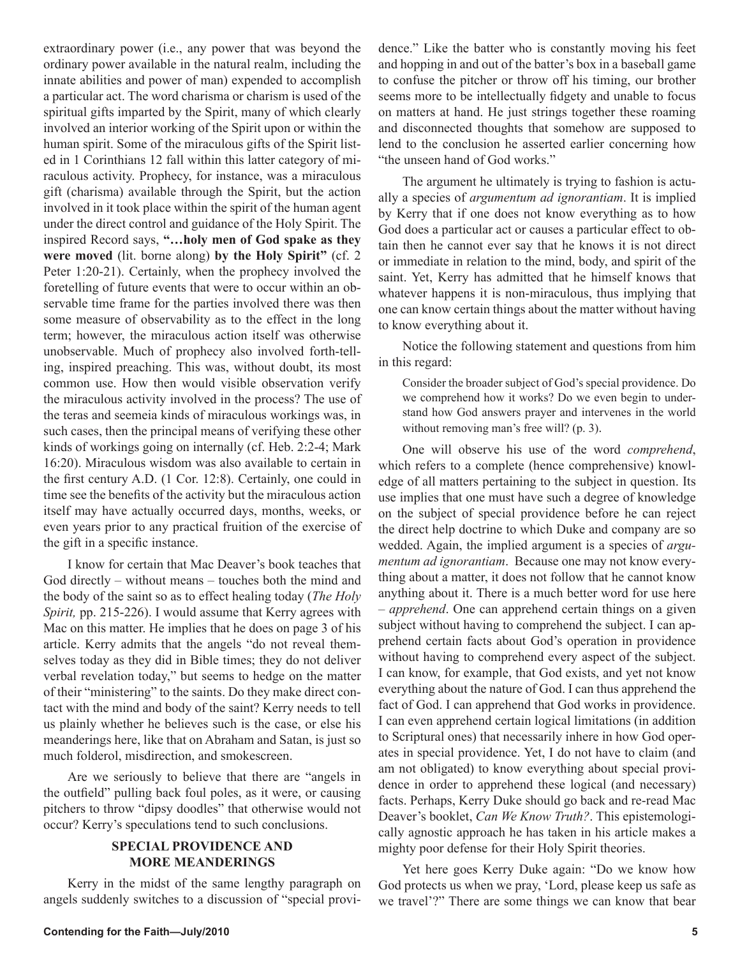extraordinary power (i.e., any power that was beyond the ordinary power available in the natural realm, including the innate abilities and power of man) expended to accomplish a particular act. The word charisma or charism is used of the spiritual gifts imparted by the Spirit, many of which clearly involved an interior working of the Spirit upon or within the human spirit. Some of the miraculous gifts of the Spirit listed in 1 Corinthians 12 fall within this latter category of miraculous activity. Prophecy, for instance, was a miraculous gift (charisma) available through the Spirit, but the action involved in it took place within the spirit of the human agent under the direct control and guidance of the Holy Spirit. The inspired Record says, **"…holy men of God spake as they were moved** (lit. borne along) **by the Holy Spirit"** (cf. 2 Peter 1:20-21). Certainly, when the prophecy involved the foretelling of future events that were to occur within an observable time frame for the parties involved there was then some measure of observability as to the effect in the long term; however, the miraculous action itself was otherwise unobservable. Much of prophecy also involved forth-telling, inspired preaching. This was, without doubt, its most common use. How then would visible observation verify the miraculous activity involved in the process? The use of the teras and seemeia kinds of miraculous workings was, in such cases, then the principal means of verifying these other kinds of workings going on internally (cf. Heb. 2:2-4; Mark 16:20). Miraculous wisdom was also available to certain in the first century A.D. (1 Cor. 12:8). Certainly, one could in time see the benefits of the activity but the miraculous action itself may have actually occurred days, months, weeks, or even years prior to any practical fruition of the exercise of the gift in a specific instance.

I know for certain that Mac Deaver's book teaches that God directly – without means – touches both the mind and the body of the saint so as to effect healing today (*The Holy Spirit,* pp. 215-226). I would assume that Kerry agrees with Mac on this matter. He implies that he does on page 3 of his article. Kerry admits that the angels "do not reveal themselves today as they did in Bible times; they do not deliver verbal revelation today," but seems to hedge on the matter of their "ministering" to the saints. Do they make direct contact with the mind and body of the saint? Kerry needs to tell us plainly whether he believes such is the case, or else his meanderings here, like that on Abraham and Satan, is just so much folderol, misdirection, and smokescreen.

Are we seriously to believe that there are "angels in the outfield" pulling back foul poles, as it were, or causing pitchers to throw "dipsy doodles" that otherwise would not occur? Kerry's speculations tend to such conclusions.

#### **SPECIAL PROVIDENCE AND MORE MEANDERINGS**

Kerry in the midst of the same lengthy paragraph on angels suddenly switches to a discussion of "special providence." Like the batter who is constantly moving his feet and hopping in and out of the batter's box in a baseball game to confuse the pitcher or throw off his timing, our brother seems more to be intellectually fidgety and unable to focus on matters at hand. He just strings together these roaming and disconnected thoughts that somehow are supposed to lend to the conclusion he asserted earlier concerning how "the unseen hand of God works."

The argument he ultimately is trying to fashion is actually a species of *argumentum ad ignorantiam*. It is implied by Kerry that if one does not know everything as to how God does a particular act or causes a particular effect to obtain then he cannot ever say that he knows it is not direct or immediate in relation to the mind, body, and spirit of the saint. Yet, Kerry has admitted that he himself knows that whatever happens it is non-miraculous, thus implying that one can know certain things about the matter without having to know everything about it.

Notice the following statement and questions from him in this regard:

Consider the broader subject of God's special providence. Do we comprehend how it works? Do we even begin to understand how God answers prayer and intervenes in the world without removing man's free will? (p. 3).

One will observe his use of the word *comprehend*, which refers to a complete (hence comprehensive) knowledge of all matters pertaining to the subject in question. Its use implies that one must have such a degree of knowledge on the subject of special providence before he can reject the direct help doctrine to which Duke and company are so wedded. Again, the implied argument is a species of *argumentum ad ignorantiam*. Because one may not know everything about a matter, it does not follow that he cannot know anything about it. There is a much better word for use here – *apprehend*. One can apprehend certain things on a given subject without having to comprehend the subject. I can apprehend certain facts about God's operation in providence without having to comprehend every aspect of the subject. I can know, for example, that God exists, and yet not know everything about the nature of God. I can thus apprehend the fact of God. I can apprehend that God works in providence. I can even apprehend certain logical limitations (in addition to Scriptural ones) that necessarily inhere in how God operates in special providence. Yet, I do not have to claim (and am not obligated) to know everything about special providence in order to apprehend these logical (and necessary) facts. Perhaps, Kerry Duke should go back and re-read Mac Deaver's booklet, *Can We Know Truth?*. This epistemologically agnostic approach he has taken in his article makes a mighty poor defense for their Holy Spirit theories.

Yet here goes Kerry Duke again: "Do we know how God protects us when we pray, 'Lord, please keep us safe as we travel'?" There are some things we can know that bear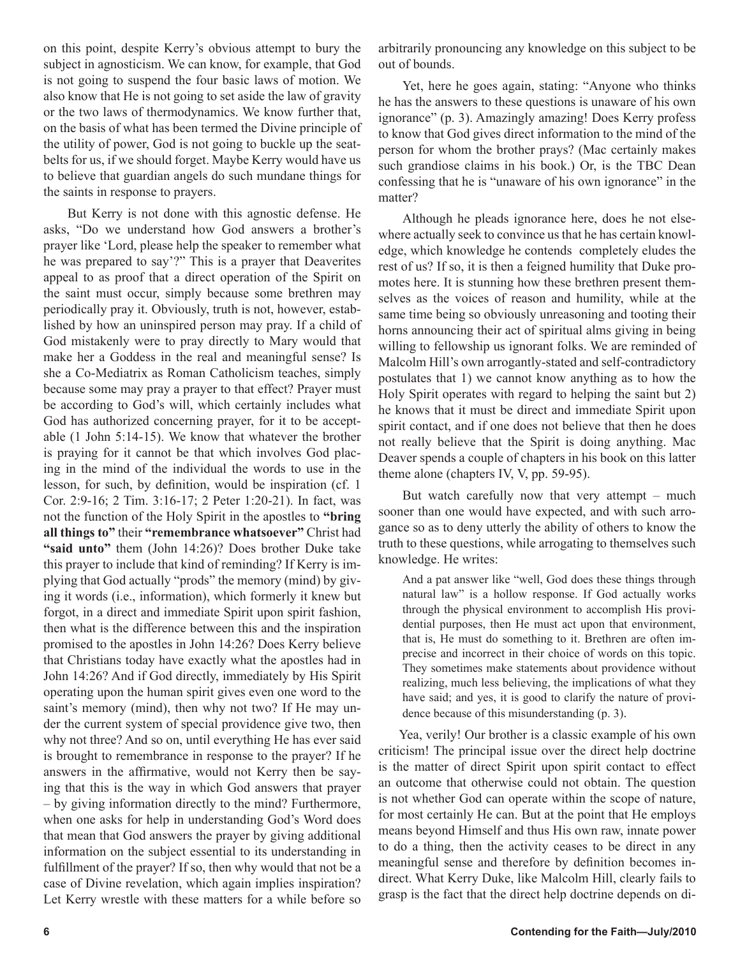on this point, despite Kerry's obvious attempt to bury the subject in agnosticism. We can know, for example, that God is not going to suspend the four basic laws of motion. We also know that He is not going to set aside the law of gravity or the two laws of thermodynamics. We know further that, on the basis of what has been termed the Divine principle of the utility of power, God is not going to buckle up the seatbelts for us, if we should forget. Maybe Kerry would have us to believe that guardian angels do such mundane things for the saints in response to prayers.

But Kerry is not done with this agnostic defense. He asks, "Do we understand how God answers a brother's prayer like 'Lord, please help the speaker to remember what he was prepared to say'?" This is a prayer that Deaverites appeal to as proof that a direct operation of the Spirit on the saint must occur, simply because some brethren may periodically pray it. Obviously, truth is not, however, established by how an uninspired person may pray. If a child of God mistakenly were to pray directly to Mary would that make her a Goddess in the real and meaningful sense? Is she a Co-Mediatrix as Roman Catholicism teaches, simply because some may pray a prayer to that effect? Prayer must be according to God's will, which certainly includes what God has authorized concerning prayer, for it to be acceptable (1 John 5:14-15). We know that whatever the brother is praying for it cannot be that which involves God placing in the mind of the individual the words to use in the lesson, for such, by definition, would be inspiration (cf. 1 Cor. 2:9-16; 2 Tim. 3:16-17; 2 Peter 1:20-21). In fact, was not the function of the Holy Spirit in the apostles to **"bring all things to"** their **"remembrance whatsoever"** Christ had **"said unto"** them (John 14:26)? Does brother Duke take this prayer to include that kind of reminding? If Kerry is implying that God actually "prods" the memory (mind) by giving it words (i.e., information), which formerly it knew but forgot, in a direct and immediate Spirit upon spirit fashion, then what is the difference between this and the inspiration promised to the apostles in John 14:26? Does Kerry believe that Christians today have exactly what the apostles had in John 14:26? And if God directly, immediately by His Spirit operating upon the human spirit gives even one word to the saint's memory (mind), then why not two? If He may under the current system of special providence give two, then why not three? And so on, until everything He has ever said is brought to remembrance in response to the prayer? If he answers in the affirmative, would not Kerry then be saying that this is the way in which God answers that prayer – by giving information directly to the mind? Furthermore, when one asks for help in understanding God's Word does that mean that God answers the prayer by giving additional information on the subject essential to its understanding in fulfillment of the prayer? If so, then why would that not be a case of Divine revelation, which again implies inspiration? Let Kerry wrestle with these matters for a while before so

arbitrarily pronouncing any knowledge on this subject to be out of bounds.

Yet, here he goes again, stating: "Anyone who thinks he has the answers to these questions is unaware of his own ignorance" (p. 3). Amazingly amazing! Does Kerry profess to know that God gives direct information to the mind of the person for whom the brother prays? (Mac certainly makes such grandiose claims in his book.) Or, is the TBC Dean confessing that he is "unaware of his own ignorance" in the matter?

Although he pleads ignorance here, does he not elsewhere actually seek to convince us that he has certain knowledge, which knowledge he contends completely eludes the rest of us? If so, it is then a feigned humility that Duke promotes here. It is stunning how these brethren present themselves as the voices of reason and humility, while at the same time being so obviously unreasoning and tooting their horns announcing their act of spiritual alms giving in being willing to fellowship us ignorant folks. We are reminded of Malcolm Hill's own arrogantly-stated and self-contradictory postulates that 1) we cannot know anything as to how the Holy Spirit operates with regard to helping the saint but 2) he knows that it must be direct and immediate Spirit upon spirit contact, and if one does not believe that then he does not really believe that the Spirit is doing anything. Mac Deaver spends a couple of chapters in his book on this latter theme alone (chapters IV, V, pp. 59-95).

But watch carefully now that very attempt – much sooner than one would have expected, and with such arrogance so as to deny utterly the ability of others to know the truth to these questions, while arrogating to themselves such knowledge. He writes:

And a pat answer like "well, God does these things through natural law" is a hollow response. If God actually works through the physical environment to accomplish His providential purposes, then He must act upon that environment, that is, He must do something to it. Brethren are often imprecise and incorrect in their choice of words on this topic. They sometimes make statements about providence without realizing, much less believing, the implications of what they have said; and yes, it is good to clarify the nature of providence because of this misunderstanding (p. 3).

Yea, verily! Our brother is a classic example of his own criticism! The principal issue over the direct help doctrine is the matter of direct Spirit upon spirit contact to effect an outcome that otherwise could not obtain. The question is not whether God can operate within the scope of nature, for most certainly He can. But at the point that He employs means beyond Himself and thus His own raw, innate power to do a thing, then the activity ceases to be direct in any meaningful sense and therefore by definition becomes indirect. What Kerry Duke, like Malcolm Hill, clearly fails to grasp is the fact that the direct help doctrine depends on di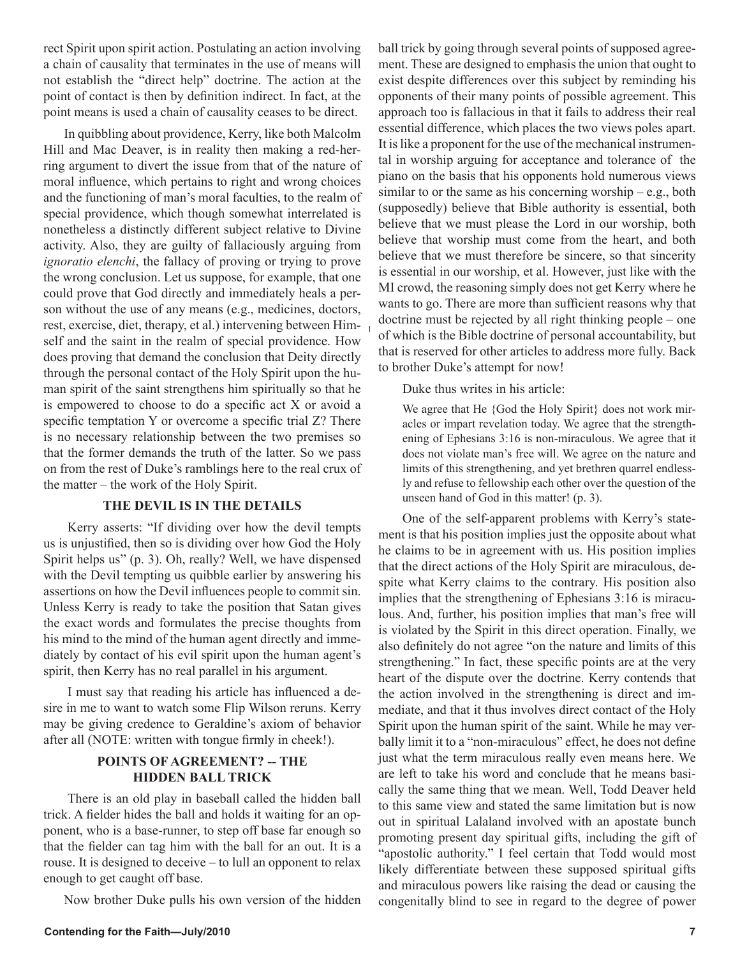rect Spirit upon spirit action. Postulating an action involving a chain of causality that terminates in the use of means will not establish the "direct help" doctrine. The action at the point of contact is then by definition indirect. In fact, at the point means is used a chain of causality ceases to be direct.

In quibbling about providence, Kerry, like both Malcolm Hill and Mac Deaver, is in reality then making a red-herring argument to divert the issue from that of the nature of moral influence, which pertains to right and wrong choices and the functioning of man's moral faculties, to the realm of special providence, which though somewhat interrelated is nonetheless a distinctly different subject relative to Divine activity. Also, they are guilty of fallaciously arguing from *ignoratio elenchi*, the fallacy of proving or trying to prove the wrong conclusion. Let us suppose, for example, that one could prove that God directly and immediately heals a person without the use of any means (e.g., medicines, doctors, rest, exercise, diet, therapy, et al.) intervening between Himself and the saint in the realm of special providence. How does proving that demand the conclusion that Deity directly through the personal contact of the Holy Spirit upon the human spirit of the saint strengthens him spiritually so that he is empowered to choose to do a specific act X or avoid a specific temptation Y or overcome a specific trial Z? There is no necessary relationship between the two premises so that the former demands the truth of the latter. So we pass on from the rest of Duke's ramblings here to the real crux of the matter – the work of the Holy Spirit.

#### **THE DEVIL IS IN THE DETAILS**

Kerry asserts: "If dividing over how the devil tempts us is unjustified, then so is dividing over how God the Holy Spirit helps us" (p. 3). Oh, really? Well, we have dispensed with the Devil tempting us quibble earlier by answering his assertions on how the Devil influences people to commit sin. Unless Kerry is ready to take the position that Satan gives the exact words and formulates the precise thoughts from his mind to the mind of the human agent directly and immediately by contact of his evil spirit upon the human agent's spirit, then Kerry has no real parallel in his argument.

I must say that reading his article has influenced a desire in me to want to watch some Flip Wilson reruns. Kerry may be giving credence to Geraldine's axiom of behavior after all (NOTE: written with tongue firmly in cheek!).

#### **POINTS OF AGREEMENT? -- THE HIDDEN BALL TRICK**

There is an old play in baseball called the hidden ball trick. A fielder hides the ball and holds it waiting for an opponent, who is a base-runner, to step off base far enough so that the fielder can tag him with the ball for an out. It is a rouse. It is designed to deceive – to lull an opponent to relax enough to get caught off base.

Now brother Duke pulls his own version of the hidden

ball trick by going through several points of supposed agreement. These are designed to emphasis the union that ought to exist despite differences over this subject by reminding his opponents of their many points of possible agreement. This approach too is fallacious in that it fails to address their real essential difference, which places the two views poles apart. It is like a proponent for the use of the mechanical instrumental in worship arguing for acceptance and tolerance of the piano on the basis that his opponents hold numerous views similar to or the same as his concerning worship – e.g., both (supposedly) believe that Bible authority is essential, both believe that we must please the Lord in our worship, both believe that worship must come from the heart, and both believe that we must therefore be sincere, so that sincerity is essential in our worship, et al. However, just like with the MI crowd, the reasoning simply does not get Kerry where he wants to go. There are more than sufficient reasons why that doctrine must be rejected by all right thinking people – one of which is the Bible doctrine of personal accountability, but that is reserved for other articles to address more fully. Back to brother Duke's attempt for now!

Duke thus writes in his article:

We agree that He {God the Holy Spirit} does not work miracles or impart revelation today. We agree that the strengthening of Ephesians 3:16 is non-miraculous. We agree that it does not violate man's free will. We agree on the nature and limits of this strengthening, and yet brethren quarrel endlessly and refuse to fellowship each other over the question of the unseen hand of God in this matter! (p. 3).

One of the self-apparent problems with Kerry's statement is that his position implies just the opposite about what he claims to be in agreement with us. His position implies that the direct actions of the Holy Spirit are miraculous, despite what Kerry claims to the contrary. His position also implies that the strengthening of Ephesians 3:16 is miraculous. And, further, his position implies that man's free will is violated by the Spirit in this direct operation. Finally, we also definitely do not agree "on the nature and limits of this strengthening." In fact, these specific points are at the very heart of the dispute over the doctrine. Kerry contends that the action involved in the strengthening is direct and immediate, and that it thus involves direct contact of the Holy Spirit upon the human spirit of the saint. While he may verbally limit it to a "non-miraculous" effect, he does not define just what the term miraculous really even means here. We are left to take his word and conclude that he means basically the same thing that we mean. Well, Todd Deaver held to this same view and stated the same limitation but is now out in spiritual Lalaland involved with an apostate bunch promoting present day spiritual gifts, including the gift of "apostolic authority." I feel certain that Todd would most likely differentiate between these supposed spiritual gifts and miraculous powers like raising the dead or causing the congenitally blind to see in regard to the degree of power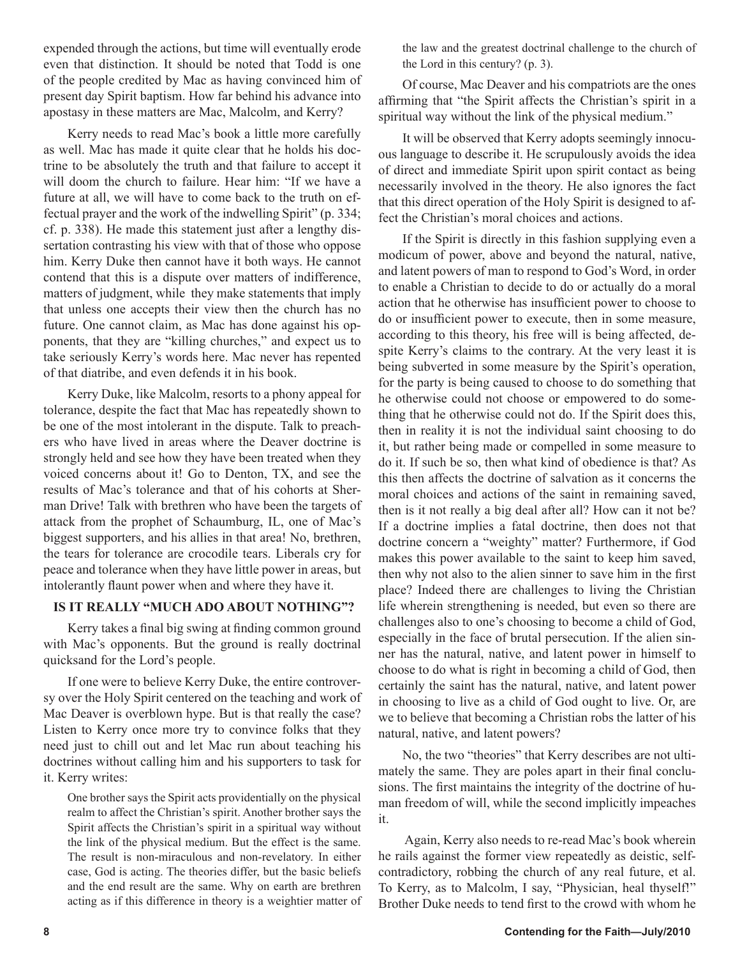expended through the actions, but time will eventually erode even that distinction. It should be noted that Todd is one of the people credited by Mac as having convinced him of present day Spirit baptism. How far behind his advance into apostasy in these matters are Mac, Malcolm, and Kerry?

Kerry needs to read Mac's book a little more carefully as well. Mac has made it quite clear that he holds his doctrine to be absolutely the truth and that failure to accept it will doom the church to failure. Hear him: "If we have a future at all, we will have to come back to the truth on effectual prayer and the work of the indwelling Spirit" (p. 334; cf. p. 338). He made this statement just after a lengthy dissertation contrasting his view with that of those who oppose him. Kerry Duke then cannot have it both ways. He cannot contend that this is a dispute over matters of indifference, matters of judgment, while they make statements that imply that unless one accepts their view then the church has no future. One cannot claim, as Mac has done against his opponents, that they are "killing churches," and expect us to take seriously Kerry's words here. Mac never has repented of that diatribe, and even defends it in his book.

Kerry Duke, like Malcolm, resorts to a phony appeal for tolerance, despite the fact that Mac has repeatedly shown to be one of the most intolerant in the dispute. Talk to preachers who have lived in areas where the Deaver doctrine is strongly held and see how they have been treated when they voiced concerns about it! Go to Denton, TX, and see the results of Mac's tolerance and that of his cohorts at Sherman Drive! Talk with brethren who have been the targets of attack from the prophet of Schaumburg, IL, one of Mac's biggest supporters, and his allies in that area! No, brethren, the tears for tolerance are crocodile tears. Liberals cry for peace and tolerance when they have little power in areas, but intolerantly flaunt power when and where they have it.

#### **IS IT REALLY "MUCH ADO ABOUT NOTHING"?**

Kerry takes a final big swing at finding common ground with Mac's opponents. But the ground is really doctrinal quicksand for the Lord's people.

If one were to believe Kerry Duke, the entire controversy over the Holy Spirit centered on the teaching and work of Mac Deaver is overblown hype. But is that really the case? Listen to Kerry once more try to convince folks that they need just to chill out and let Mac run about teaching his doctrines without calling him and his supporters to task for it. Kerry writes:

One brother says the Spirit acts providentially on the physical realm to affect the Christian's spirit. Another brother says the Spirit affects the Christian's spirit in a spiritual way without the link of the physical medium. But the effect is the same. The result is non-miraculous and non-revelatory. In either case, God is acting. The theories differ, but the basic beliefs and the end result are the same. Why on earth are brethren acting as if this difference in theory is a weightier matter of the law and the greatest doctrinal challenge to the church of the Lord in this century? (p. 3).

Of course, Mac Deaver and his compatriots are the ones affirming that "the Spirit affects the Christian's spirit in a spiritual way without the link of the physical medium."

It will be observed that Kerry adopts seemingly innocuous language to describe it. He scrupulously avoids the idea of direct and immediate Spirit upon spirit contact as being necessarily involved in the theory. He also ignores the fact that this direct operation of the Holy Spirit is designed to affect the Christian's moral choices and actions.

If the Spirit is directly in this fashion supplying even a modicum of power, above and beyond the natural, native, and latent powers of man to respond to God's Word, in order to enable a Christian to decide to do or actually do a moral action that he otherwise has insufficient power to choose to do or insufficient power to execute, then in some measure, according to this theory, his free will is being affected, despite Kerry's claims to the contrary. At the very least it is being subverted in some measure by the Spirit's operation, for the party is being caused to choose to do something that he otherwise could not choose or empowered to do something that he otherwise could not do. If the Spirit does this, then in reality it is not the individual saint choosing to do it, but rather being made or compelled in some measure to do it. If such be so, then what kind of obedience is that? As this then affects the doctrine of salvation as it concerns the moral choices and actions of the saint in remaining saved, then is it not really a big deal after all? How can it not be? If a doctrine implies a fatal doctrine, then does not that doctrine concern a "weighty" matter? Furthermore, if God makes this power available to the saint to keep him saved, then why not also to the alien sinner to save him in the first place? Indeed there are challenges to living the Christian life wherein strengthening is needed, but even so there are challenges also to one's choosing to become a child of God, especially in the face of brutal persecution. If the alien sinner has the natural, native, and latent power in himself to choose to do what is right in becoming a child of God, then certainly the saint has the natural, native, and latent power in choosing to live as a child of God ought to live. Or, are we to believe that becoming a Christian robs the latter of his natural, native, and latent powers?

No, the two "theories" that Kerry describes are not ultimately the same. They are poles apart in their final conclusions. The first maintains the integrity of the doctrine of human freedom of will, while the second implicitly impeaches it.

 Again, Kerry also needs to re-read Mac's book wherein he rails against the former view repeatedly as deistic, selfcontradictory, robbing the church of any real future, et al. To Kerry, as to Malcolm, I say, "Physician, heal thyself!" Brother Duke needs to tend first to the crowd with whom he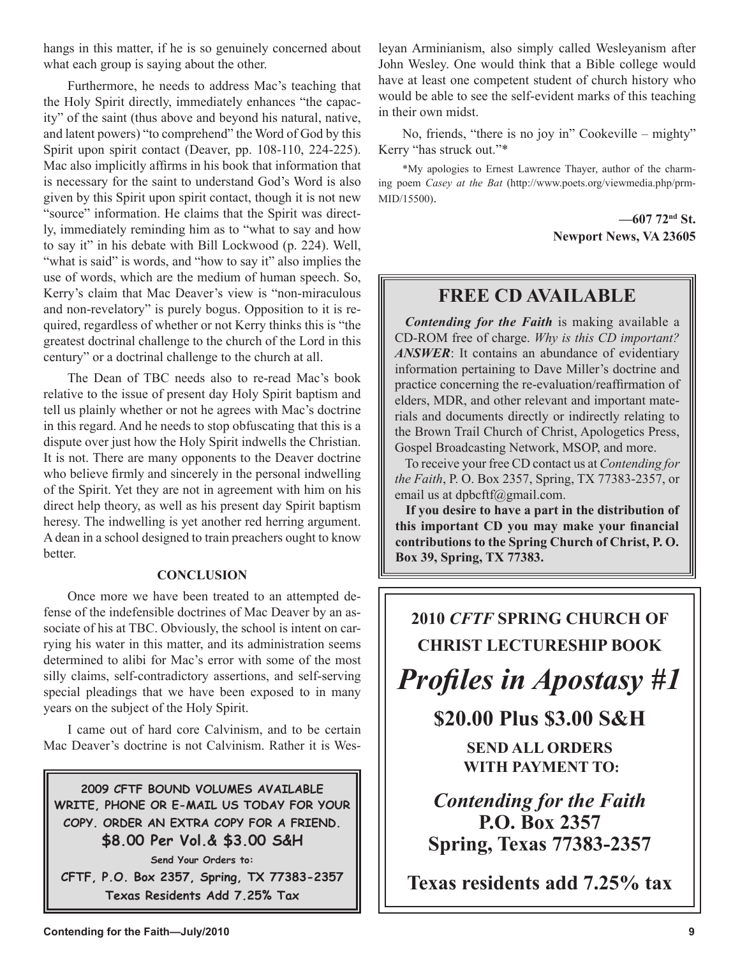hangs in this matter, if he is so genuinely concerned about what each group is saying about the other.

Furthermore, he needs to address Mac's teaching that the Holy Spirit directly, immediately enhances "the capacity" of the saint (thus above and beyond his natural, native, and latent powers) "to comprehend" the Word of God by this Spirit upon spirit contact (Deaver, pp. 108-110, 224-225). Mac also implicitly affirms in his book that information that is necessary for the saint to understand God's Word is also given by this Spirit upon spirit contact, though it is not new "source" information. He claims that the Spirit was directly, immediately reminding him as to "what to say and how to say it" in his debate with Bill Lockwood (p. 224). Well, "what is said" is words, and "how to say it" also implies the use of words, which are the medium of human speech. So, Kerry's claim that Mac Deaver's view is "non-miraculous and non-revelatory" is purely bogus. Opposition to it is required, regardless of whether or not Kerry thinks this is "the greatest doctrinal challenge to the church of the Lord in this century" or a doctrinal challenge to the church at all.

The Dean of TBC needs also to re-read Mac's book relative to the issue of present day Holy Spirit baptism and tell us plainly whether or not he agrees with Mac's doctrine in this regard. And he needs to stop obfuscating that this is a dispute over just how the Holy Spirit indwells the Christian. It is not. There are many opponents to the Deaver doctrine who believe firmly and sincerely in the personal indwelling of the Spirit. Yet they are not in agreement with him on his direct help theory, as well as his present day Spirit baptism heresy. The indwelling is yet another red herring argument. A dean in a school designed to train preachers ought to know better.

#### **CONCLUSION**

Once more we have been treated to an attempted defense of the indefensible doctrines of Mac Deaver by an associate of his at TBC. Obviously, the school is intent on carrying his water in this matter, and its administration seems determined to alibi for Mac's error with some of the most silly claims, self-contradictory assertions, and self-serving special pleadings that we have been exposed to in many years on the subject of the Holy Spirit.

I came out of hard core Calvinism, and to be certain Mac Deaver's doctrine is not Calvinism. Rather it is Wes-

**2009 CFTF BOUND VOLUMES AVAILABLE WRITE, PHONE OR E-MAIL US TODAY FOR YOUR COPY. ORDER AN EXTRA COPY FOR A FRIEND. \$8.00 Per Vol.& \$3.00 S&H**

**Send Your Orders to: CFTF, P.O. Box 2357, Spring, TX 77383-2357 Texas Residents Add 7.25% Tax**

leyan Arminianism, also simply called Wesleyanism after John Wesley. One would think that a Bible college would have at least one competent student of church history who would be able to see the self-evident marks of this teaching in their own midst.

No, friends, "there is no joy in" Cookeville – mighty" Kerry "has struck out."\*

\*My apologies to Ernest Lawrence Thayer, author of the charming poem *Casey at the Bat* (http://www.poets.org/viewmedia.php/prm-MID/15500).

> **—607 72nd St. Newport News, VA 23605**

### **FREE CD AVAILABLE**

*Contending for the Faith* is making available a CD-ROM free of charge. *Why is this CD important? ANSWER*: It contains an abundance of evidentiary information pertaining to Dave Miller's doctrine and practice concerning the re-evaluation/reaffirmation of elders, MDR, and other relevant and important materials and documents directly or indirectly relating to the Brown Trail Church of Christ, Apologetics Press, Gospel Broadcasting Network, MSOP, and more.

To receive your free CD contact us at *Contending for the Faith*, P. O. Box 2357, Spring, TX 77383-2357, or email us at dpbcftf@gmail.com.

**If you desire to have a part in the distribution of this important CD you may make your financial contributions to the Spring Church of Christ, P. O. Box 39, Spring, TX 77383.**

# **2010** *CFTF* **SPRING CHURCH OF CHRIST LECTURESHIP BOOK** *Profiles in Apostasy #1*

**\$20.00 Plus \$3.00 S&H**

**SEND ALL ORDERS WITH PAYMENT TO:**

*Contending for the Faith* **P.O. Box 2357 Spring, Texas 77383-2357**

**Texas residents add 7.25% tax**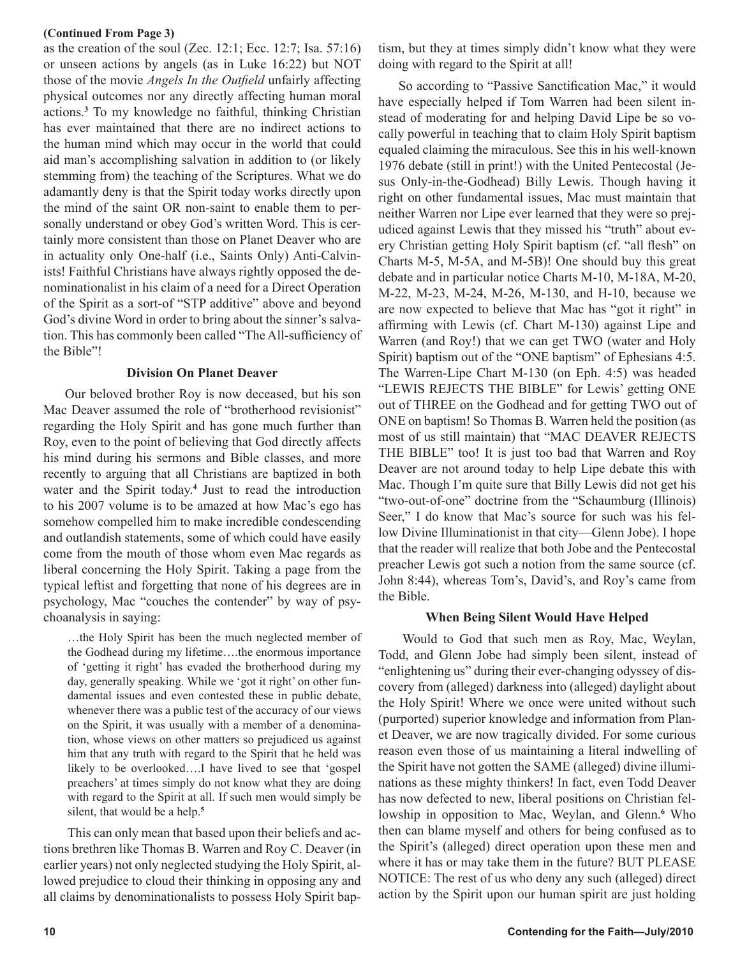#### **(Continued From Page 3)**

as the creation of the soul (Zec. 12:1; Ecc. 12:7; Isa. 57:16) or unseen actions by angels (as in Luke 16:22) but NOT those of the movie *Angels In the Outfield* unfairly affecting physical outcomes nor any directly affecting human moral actions.**<sup>3</sup>** To my knowledge no faithful, thinking Christian has ever maintained that there are no indirect actions to the human mind which may occur in the world that could aid man's accomplishing salvation in addition to (or likely stemming from) the teaching of the Scriptures. What we do adamantly deny is that the Spirit today works directly upon the mind of the saint OR non-saint to enable them to personally understand or obey God's written Word. This is certainly more consistent than those on Planet Deaver who are in actuality only One-half (i.e., Saints Only) Anti-Calvinists! Faithful Christians have always rightly opposed the denominationalist in his claim of a need for a Direct Operation of the Spirit as a sort-of "STP additive" above and beyond God's divine Word in order to bring about the sinner's salvation. This has commonly been called "The All-sufficiency of the Bible"!

#### **Division On Planet Deaver**

 Our beloved brother Roy is now deceased, but his son Mac Deaver assumed the role of "brotherhood revisionist" regarding the Holy Spirit and has gone much further than Roy, even to the point of believing that God directly affects his mind during his sermons and Bible classes, and more recently to arguing that all Christians are baptized in both water and the Spirit today.**<sup>4</sup>** Just to read the introduction to his 2007 volume is to be amazed at how Mac's ego has somehow compelled him to make incredible condescending and outlandish statements, some of which could have easily come from the mouth of those whom even Mac regards as liberal concerning the Holy Spirit. Taking a page from the typical leftist and forgetting that none of his degrees are in psychology, Mac "couches the contender" by way of psychoanalysis in saying:

…the Holy Spirit has been the much neglected member of the Godhead during my lifetime….the enormous importance of 'getting it right' has evaded the brotherhood during my day, generally speaking. While we 'got it right' on other fundamental issues and even contested these in public debate, whenever there was a public test of the accuracy of our views on the Spirit, it was usually with a member of a denomination, whose views on other matters so prejudiced us against him that any truth with regard to the Spirit that he held was likely to be overlooked….I have lived to see that 'gospel preachers' at times simply do not know what they are doing with regard to the Spirit at all. If such men would simply be silent, that would be a help.**<sup>5</sup>**

This can only mean that based upon their beliefs and actions brethren like Thomas B. Warren and Roy C. Deaver (in earlier years) not only neglected studying the Holy Spirit, allowed prejudice to cloud their thinking in opposing any and all claims by denominationalists to possess Holy Spirit baptism, but they at times simply didn't know what they were doing with regard to the Spirit at all!

 So according to "Passive Sanctification Mac," it would have especially helped if Tom Warren had been silent instead of moderating for and helping David Lipe be so vocally powerful in teaching that to claim Holy Spirit baptism equaled claiming the miraculous. See this in his well-known 1976 debate (still in print!) with the United Pentecostal (Jesus Only-in-the-Godhead) Billy Lewis. Though having it right on other fundamental issues, Mac must maintain that neither Warren nor Lipe ever learned that they were so prejudiced against Lewis that they missed his "truth" about every Christian getting Holy Spirit baptism (cf. "all flesh" on Charts M-5, M-5A, and M-5B)! One should buy this great debate and in particular notice Charts M-10, M-18A, M-20, M-22, M-23, M-24, M-26, M-130, and H-10, because we are now expected to believe that Mac has "got it right" in affirming with Lewis (cf. Chart M-130) against Lipe and Warren (and Roy!) that we can get TWO (water and Holy Spirit) baptism out of the "ONE baptism" of Ephesians 4:5. The Warren-Lipe Chart M-130 (on Eph. 4:5) was headed "LEWIS REJECTS THE BIBLE" for Lewis' getting ONE out of THREE on the Godhead and for getting TWO out of ONE on baptism! So Thomas B. Warren held the position (as most of us still maintain) that "MAC DEAVER REJECTS THE BIBLE" too! It is just too bad that Warren and Roy Deaver are not around today to help Lipe debate this with Mac. Though I'm quite sure that Billy Lewis did not get his "two-out-of-one" doctrine from the "Schaumburg (Illinois) Seer," I do know that Mac's source for such was his fellow Divine Illuminationist in that city—Glenn Jobe). I hope that the reader will realize that both Jobe and the Pentecostal preacher Lewis got such a notion from the same source (cf. John 8:44), whereas Tom's, David's, and Roy's came from the Bible.

#### **When Being Silent Would Have Helped**

Would to God that such men as Roy, Mac, Weylan, Todd, and Glenn Jobe had simply been silent, instead of "enlightening us" during their ever-changing odyssey of discovery from (alleged) darkness into (alleged) daylight about the Holy Spirit! Where we once were united without such (purported) superior knowledge and information from Planet Deaver, we are now tragically divided. For some curious reason even those of us maintaining a literal indwelling of the Spirit have not gotten the SAME (alleged) divine illuminations as these mighty thinkers! In fact, even Todd Deaver has now defected to new, liberal positions on Christian fellowship in opposition to Mac, Weylan, and Glenn.**<sup>6</sup>** Who then can blame myself and others for being confused as to the Spirit's (alleged) direct operation upon these men and where it has or may take them in the future? BUT PLEASE NOTICE: The rest of us who deny any such (alleged) direct action by the Spirit upon our human spirit are just holding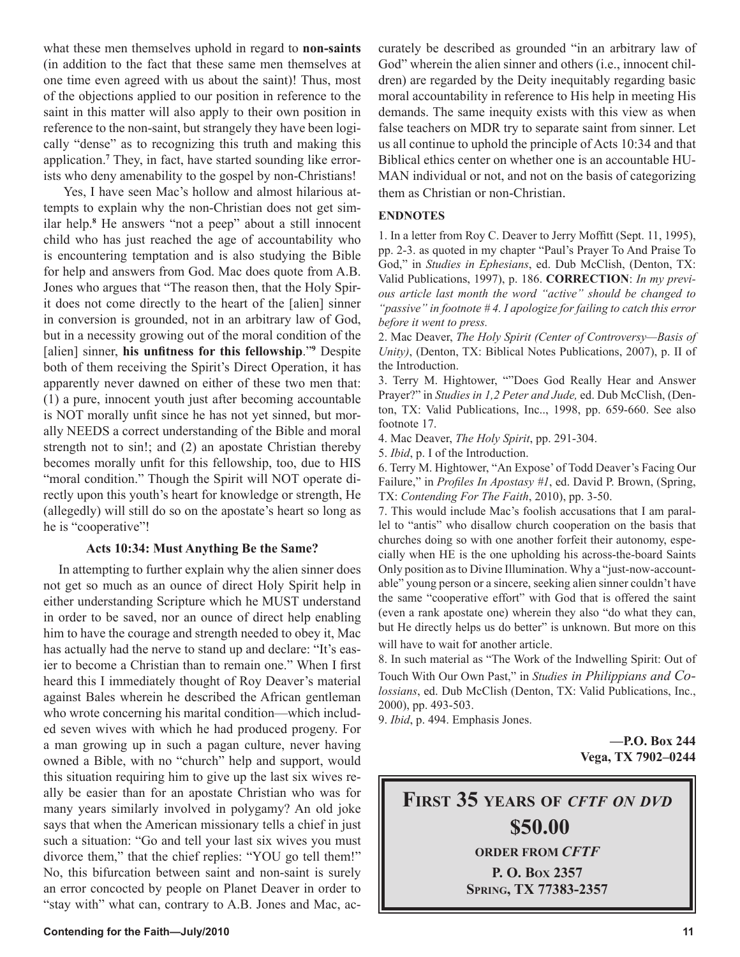what these men themselves uphold in regard to **non-saints** (in addition to the fact that these same men themselves at one time even agreed with us about the saint)! Thus, most of the objections applied to our position in reference to the saint in this matter will also apply to their own position in reference to the non-saint, but strangely they have been logically "dense" as to recognizing this truth and making this application.**<sup>7</sup>** They, in fact, have started sounding like errorists who deny amenability to the gospel by non-Christians!

 Yes, I have seen Mac's hollow and almost hilarious attempts to explain why the non-Christian does not get similar help.**<sup>8</sup>** He answers "not a peep" about a still innocent child who has just reached the age of accountability who is encountering temptation and is also studying the Bible for help and answers from God. Mac does quote from A.B. Jones who argues that "The reason then, that the Holy Spirit does not come directly to the heart of the [alien] sinner in conversion is grounded, not in an arbitrary law of God, but in a necessity growing out of the moral condition of the [alien] sinner, **his unfitness for this fellowship**."**<sup>9</sup>** Despite both of them receiving the Spirit's Direct Operation, it has apparently never dawned on either of these two men that: (1) a pure, innocent youth just after becoming accountable is NOT morally unfit since he has not yet sinned, but morally NEEDS a correct understanding of the Bible and moral strength not to sin!; and (2) an apostate Christian thereby becomes morally unfit for this fellowship, too, due to HIS "moral condition." Though the Spirit will NOT operate directly upon this youth's heart for knowledge or strength, He (allegedly) will still do so on the apostate's heart so long as he is "cooperative"!

#### **Acts 10:34: Must Anything Be the Same?**

 In attempting to further explain why the alien sinner does not get so much as an ounce of direct Holy Spirit help in either understanding Scripture which he MUST understand in order to be saved, nor an ounce of direct help enabling him to have the courage and strength needed to obey it, Mac has actually had the nerve to stand up and declare: "It's easier to become a Christian than to remain one." When I first heard this I immediately thought of Roy Deaver's material against Bales wherein he described the African gentleman who wrote concerning his marital condition—which included seven wives with which he had produced progeny. For a man growing up in such a pagan culture, never having owned a Bible, with no "church" help and support, would this situation requiring him to give up the last six wives really be easier than for an apostate Christian who was for many years similarly involved in polygamy? An old joke says that when the American missionary tells a chief in just such a situation: "Go and tell your last six wives you must divorce them," that the chief replies: "YOU go tell them!" No, this bifurcation between saint and non-saint is surely an error concocted by people on Planet Deaver in order to "stay with" what can, contrary to A.B. Jones and Mac, accurately be described as grounded "in an arbitrary law of God" wherein the alien sinner and others (i.e., innocent children) are regarded by the Deity inequitably regarding basic moral accountability in reference to His help in meeting His demands. The same inequity exists with this view as when false teachers on MDR try to separate saint from sinner. Let us all continue to uphold the principle of Acts 10:34 and that Biblical ethics center on whether one is an accountable HU-MAN individual or not, and not on the basis of categorizing them as Christian or non-Christian.

#### **ENDNOTES**

1. In a letter from Roy C. Deaver to Jerry Moffitt (Sept. 11, 1995), pp. 2-3. as quoted in my chapter "Paul's Prayer To And Praise To God," in *Studies in Ephesians*, ed. Dub McClish, (Denton, TX: Valid Publications, 1997), p. 186. **CORRECTION**: *In my previous article last month the word "active" should be changed to "passive" in footnote # 4. I apologize for failing to catch this error before it went to press.*

2. Mac Deaver, *The Holy Spirit (Center of Controversy—Basis of Unity)*, (Denton, TX: Biblical Notes Publications, 2007), p. II of the Introduction.

3. Terry M. Hightower, ""Does God Really Hear and Answer Prayer?" in *Studies in 1,2 Peter and Jude,* ed. Dub McClish, (Denton, TX: Valid Publications, Inc.., 1998, pp. 659-660. See also footnote 17.

4. Mac Deaver, *The Holy Spirit*, pp. 291-304.

5. *Ibid*, p. I of the Introduction.

6. Terry M. Hightower, "An Expose' of Todd Deaver's Facing Our Failure," in *Profiles In Apostasy #1*, ed. David P. Brown, (Spring, TX: *Contending For The Faith*, 2010), pp. 3-50.

7. This would include Mac's foolish accusations that I am parallel to "antis" who disallow church cooperation on the basis that churches doing so with one another forfeit their autonomy, especially when HE is the one upholding his across-the-board Saints Only position as to Divine Illumination. Why a "just-now-accountable" young person or a sincere, seeking alien sinner couldn't have the same "cooperative effort" with God that is offered the saint (even a rank apostate one) wherein they also "do what they can, but He directly helps us do better" is unknown. But more on this will have to wait for another article.

8. In such material as "The Work of the Indwelling Spirit: Out of Touch With Our Own Past," in *Studies in Philippians and Co lossians*, ed. Dub McClish (Denton, TX: Valid Publications, Inc., 2000), pp. 493-503.

9. *Ibid*, p. 494. Emphasis Jones.

**—P.O. Box 244 Vega, TX 7902–0244**

**FIRST 35 YEARS OF** *CFTF ON DVD* **\$50.00 ORDER FROM** *CFTF* **P. O. BOX 2357 SPRING, TX 77383-2357**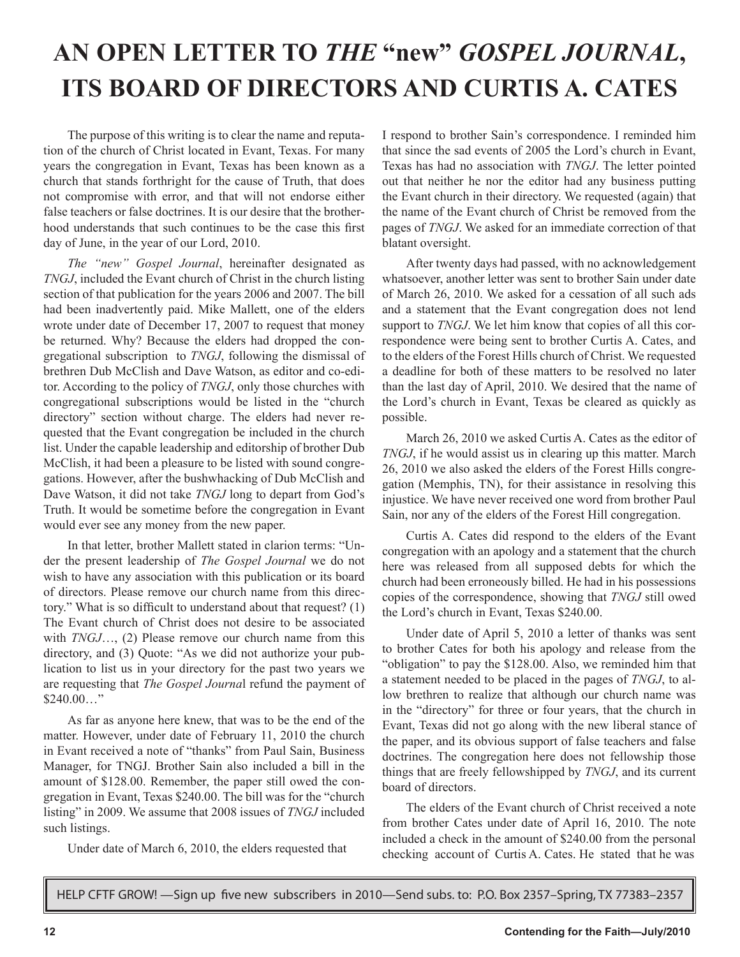# **AN OPEN LETTER TO** *THE* **"new"** *GOSPEL JOURNAL***, ITS BOARD OF DIRECTORS AND CURTIS A. CATES**

The purpose of this writing is to clear the name and reputation of the church of Christ located in Evant, Texas. For many years the congregation in Evant, Texas has been known as a church that stands forthright for the cause of Truth, that does not compromise with error, and that will not endorse either false teachers or false doctrines. It is our desire that the brotherhood understands that such continues to be the case this first day of June, in the year of our Lord, 2010.

*The "new" Gospel Journal*, hereinafter designated as *TNGJ*, included the Evant church of Christ in the church listing section of that publication for the years 2006 and 2007. The bill had been inadvertently paid. Mike Mallett, one of the elders wrote under date of December 17, 2007 to request that money be returned. Why? Because the elders had dropped the congregational subscription to *TNGJ*, following the dismissal of brethren Dub McClish and Dave Watson, as editor and co-editor. According to the policy of *TNGJ*, only those churches with congregational subscriptions would be listed in the "church directory" section without charge. The elders had never requested that the Evant congregation be included in the church list. Under the capable leadership and editorship of brother Dub McClish, it had been a pleasure to be listed with sound congregations. However, after the bushwhacking of Dub McClish and Dave Watson, it did not take *TNGJ* long to depart from God's Truth. It would be sometime before the congregation in Evant would ever see any money from the new paper.

In that letter, brother Mallett stated in clarion terms: "Under the present leadership of *The Gospel Journal* we do not wish to have any association with this publication or its board of directors. Please remove our church name from this directory." What is so difficult to understand about that request? (1) The Evant church of Christ does not desire to be associated with *TNGJ*…, (2) Please remove our church name from this directory, and (3) Quote: "As we did not authorize your publication to list us in your directory for the past two years we are requesting that *The Gospel Journa*l refund the payment of  $$240.00...$ "

As far as anyone here knew, that was to be the end of the matter. However, under date of February 11, 2010 the church in Evant received a note of "thanks" from Paul Sain, Business Manager, for TNGJ. Brother Sain also included a bill in the amount of \$128.00. Remember, the paper still owed the congregation in Evant, Texas \$240.00. The bill was for the "church listing" in 2009. We assume that 2008 issues of *TNGJ* included such listings.

Under date of March 6, 2010, the elders requested that

I respond to brother Sain's correspondence. I reminded him that since the sad events of 2005 the Lord's church in Evant, Texas has had no association with *TNGJ*. The letter pointed out that neither he nor the editor had any business putting the Evant church in their directory. We requested (again) that the name of the Evant church of Christ be removed from the pages of *TNGJ*. We asked for an immediate correction of that blatant oversight.

After twenty days had passed, with no acknowledgement whatsoever, another letter was sent to brother Sain under date of March 26, 2010. We asked for a cessation of all such ads and a statement that the Evant congregation does not lend support to *TNGJ*. We let him know that copies of all this correspondence were being sent to brother Curtis A. Cates, and to the elders of the Forest Hills church of Christ. We requested a deadline for both of these matters to be resolved no later than the last day of April, 2010. We desired that the name of the Lord's church in Evant, Texas be cleared as quickly as possible.

March 26, 2010 we asked Curtis A. Cates as the editor of *TNGJ*, if he would assist us in clearing up this matter. March 26, 2010 we also asked the elders of the Forest Hills congregation (Memphis, TN), for their assistance in resolving this injustice. We have never received one word from brother Paul Sain, nor any of the elders of the Forest Hill congregation.

Curtis A. Cates did respond to the elders of the Evant congregation with an apology and a statement that the church here was released from all supposed debts for which the church had been erroneously billed. He had in his possessions copies of the correspondence, showing that *TNGJ* still owed the Lord's church in Evant, Texas \$240.00.

Under date of April 5, 2010 a letter of thanks was sent to brother Cates for both his apology and release from the "obligation" to pay the \$128.00. Also, we reminded him that a statement needed to be placed in the pages of *TNGJ*, to allow brethren to realize that although our church name was in the "directory" for three or four years, that the church in Evant, Texas did not go along with the new liberal stance of the paper, and its obvious support of false teachers and false doctrines. The congregation here does not fellowship those things that are freely fellowshipped by *TNGJ*, and its current board of directors.

The elders of the Evant church of Christ received a note from brother Cates under date of April 16, 2010. The note included a check in the amount of \$240.00 from the personal checking account of Curtis A. Cates. He stated that he was

HELP CFTF GROW! —Sign up five new subscribers in 2010—Send subs. to: P.O. Box 2357–Spring, TX 77383–2357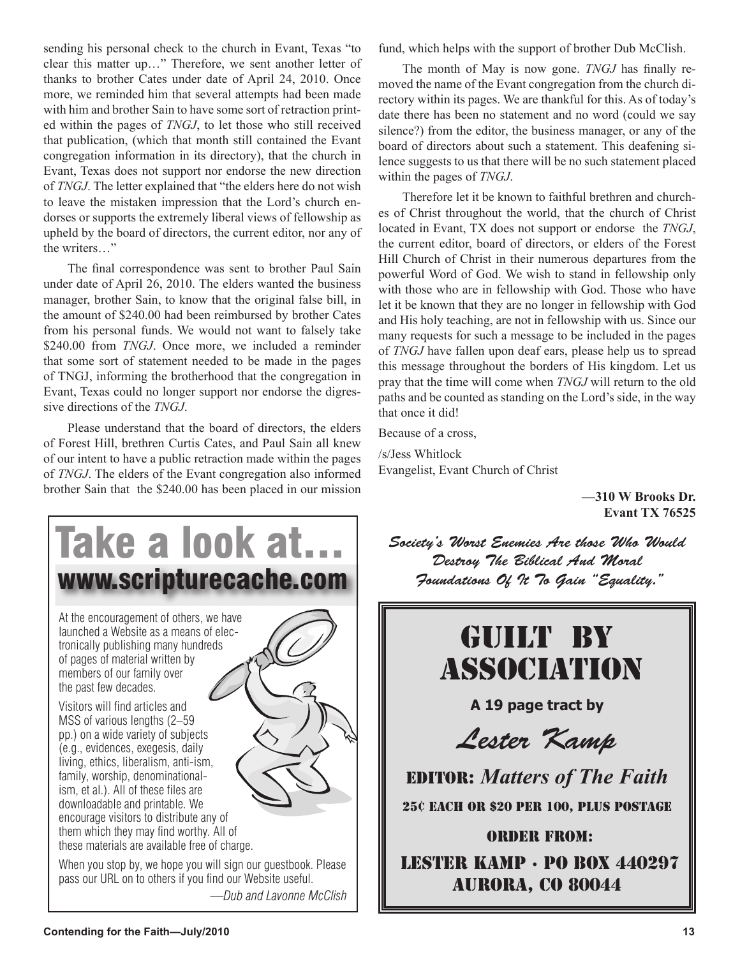sending his personal check to the church in Evant, Texas "to clear this matter up…" Therefore, we sent another letter of thanks to brother Cates under date of April 24, 2010. Once more, we reminded him that several attempts had been made with him and brother Sain to have some sort of retraction printed within the pages of *TNGJ*, to let those who still received that publication, (which that month still contained the Evant congregation information in its directory), that the church in Evant, Texas does not support nor endorse the new direction of *TNGJ*. The letter explained that "the elders here do not wish to leave the mistaken impression that the Lord's church endorses or supports the extremely liberal views of fellowship as upheld by the board of directors, the current editor, nor any of the writers…"

The final correspondence was sent to brother Paul Sain under date of April 26, 2010. The elders wanted the business manager, brother Sain, to know that the original false bill, in the amount of \$240.00 had been reimbursed by brother Cates from his personal funds. We would not want to falsely take \$240.00 from *TNGJ*. Once more, we included a reminder that some sort of statement needed to be made in the pages of TNGJ, informing the brotherhood that the congregation in Evant, Texas could no longer support nor endorse the digressive directions of the *TNGJ*.

Please understand that the board of directors, the elders of Forest Hill, brethren Curtis Cates, and Paul Sain all knew of our intent to have a public retraction made within the pages of *TNGJ*. The elders of the Evant congregation also informed brother Sain that the \$240.00 has been placed in our mission

At the encouragement of others, we have launched a Website as a means of electronically publishing many hundreds of pages of material written by members of our family over the past few decades. Visitors will find articles and MSS of various lengths (2–59) Take a look at… www.scripturecache.com

pp.) on a wide variety of subjects (e.g., evidences, exegesis, daily living, ethics, liberalism, anti-ism, family, worship, denominationalism, et al.). All of these files are downloadable and printable. We encourage visitors to distribute any of them which they may find worthy. All of these materials are available free of charge.



When you stop by, we hope you will sign our guestbook. Please pass our URL on to others if you find our Website useful. *—Dub and Lavonne McClish* fund, which helps with the support of brother Dub McClish.

The month of May is now gone. *TNGJ* has finally removed the name of the Evant congregation from the church directory within its pages. We are thankful for this. As of today's date there has been no statement and no word (could we say silence?) from the editor, the business manager, or any of the board of directors about such a statement. This deafening silence suggests to us that there will be no such statement placed within the pages of *TNGJ*.

Therefore let it be known to faithful brethren and churches of Christ throughout the world, that the church of Christ located in Evant, TX does not support or endorse the *TNGJ*, the current editor, board of directors, or elders of the Forest Hill Church of Christ in their numerous departures from the powerful Word of God. We wish to stand in fellowship only with those who are in fellowship with God. Those who have let it be known that they are no longer in fellowship with God and His holy teaching, are not in fellowship with us. Since our many requests for such a message to be included in the pages of *TNGJ* have fallen upon deaf ears, please help us to spread this message throughout the borders of His kingdom. Let us pray that the time will come when *TNGJ* will return to the old paths and be counted as standing on the Lord's side, in the way that once it did!

Because of a cross,

/s/Jess Whitlock Evangelist, Evant Church of Christ

> **—310 W Brooks Dr. Evant TX 76525**

Society's Worst Enemies Are those Who Would Destroy The Biblical And Moral Foundations Of It To Gain "Equality."

# Guilt By Association

**A 19 page tract by** 

Lester Kamp

EDITOR: *Matters of The Faith* 25¢ EACH OR \$20 PER 100, PLUS POSTAGE

ORDER FROM: Lester Kamp · PO Box 440297 aurora, co 80044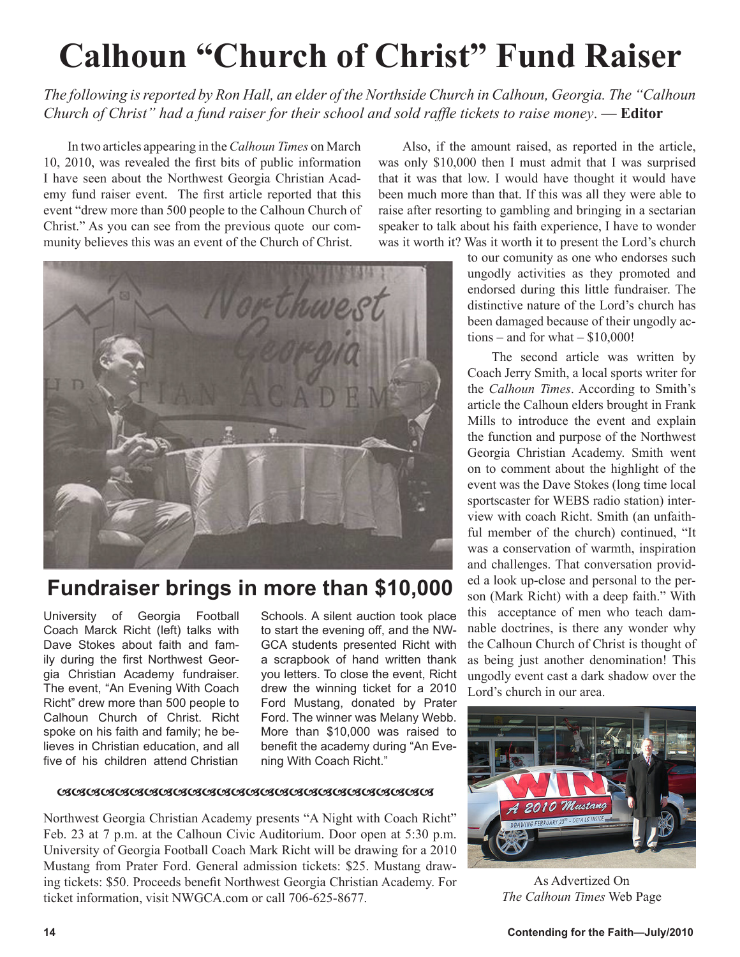# **Calhoun "Church of Christ" Fund Raiser**

*The following is reported by Ron Hall, an elder of the Northside Church in Calhoun, Georgia. The "Calhoun Church of Christ" had a fund raiser for their school and sold raffle tickets to raise money*. — **Editor**

In two articles appearing in the *Calhoun Times* on March 10, 2010, was revealed the first bits of public information I have seen about the Northwest Georgia Christian Academy fund raiser event. The first article reported that this event "drew more than 500 people to the Calhoun Church of Christ." As you can see from the previous quote our community believes this was an event of the Church of Christ.

Also, if the amount raised, as reported in the article, was only \$10,000 then I must admit that I was surprised that it was that low. I would have thought it would have been much more than that. If this was all they were able to raise after resorting to gambling and bringing in a sectarian speaker to talk about his faith experience, I have to wonder was it worth it? Was it worth it to present the Lord's church



### **Fundraiser brings in more than \$10,000**

University of Georgia Football Coach Marck Richt (left) talks with Dave Stokes about faith and family during the first Northwest Georgia Christian Academy fundraiser. The event, "An Evening With Coach Richt" drew more than 500 people to Calhoun Church of Christ. Richt spoke on his faith and family; he believes in Christian education, and all five of his children attend Christian

Schools. A silent auction took place to start the evening off, and the NW-GCA students presented Richt with a scrapbook of hand written thank you letters. To close the event, Richt drew the winning ticket for a 2010 Ford Mustang, donated by Prater Ford. The winner was Melany Webb. More than \$10,000 was raised to benefit the academy during "An Evening With Coach Richt."

#### <u>aaaaaaaaaaaaaaaaaaaaaaaaaaaaaaaaaaa</u>

Northwest Georgia Christian Academy presents "A Night with Coach Richt" Feb. 23 at 7 p.m. at the Calhoun Civic Auditorium. Door open at 5:30 p.m. University of Georgia Football Coach Mark Richt will be drawing for a 2010 Mustang from Prater Ford. General admission tickets: \$25. Mustang drawing tickets: \$50. Proceeds benefit Northwest Georgia Christian Academy. For ticket information, visit NWGCA.com or call 706-625-8677.

to our comunity as one who endorses such ungodly activities as they promoted and endorsed during this little fundraiser. The distinctive nature of the Lord's church has been damaged because of their ungodly actions – and for what  $-$  \$10,000!

The second article was written by Coach Jerry Smith, a local sports writer for the *Calhoun Times*. According to Smith's article the Calhoun elders brought in Frank Mills to introduce the event and explain the function and purpose of the Northwest Georgia Christian Academy. Smith went on to comment about the highlight of the event was the Dave Stokes (long time local sportscaster for WEBS radio station) interview with coach Richt. Smith (an unfaithful member of the church) continued, "It was a conservation of warmth, inspiration and challenges. That conversation provided a look up-close and personal to the person (Mark Richt) with a deep faith." With this acceptance of men who teach damnable doctrines, is there any wonder why the Calhoun Church of Christ is thought of as being just another denomination! This ungodly event cast a dark shadow over the Lord's church in our area.



As Advertized On *The Calhoun Times* Web Page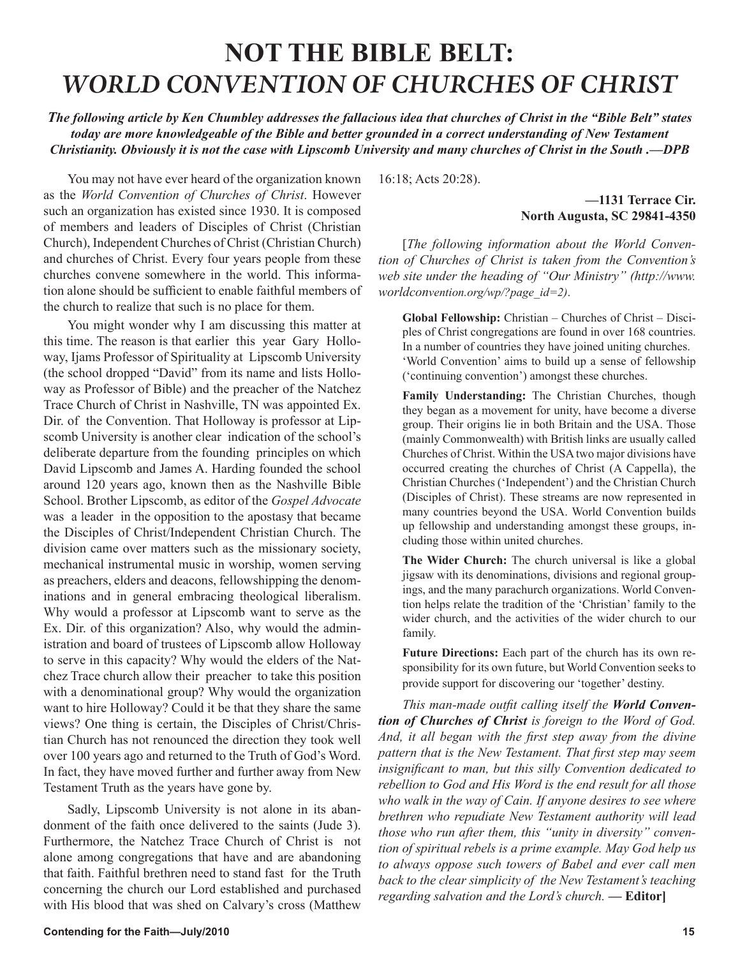## **NOT THE BIBLE BELT:** *WORLD CONVENTION OF CHURCHES OF CHRIST*

*The following article by Ken Chumbley addresses the fallacious idea that churches of Christ in the "Bible Belt" states today are more knowledgeable of the Bible and better grounded in a correct understanding of New Testament Christianity. Obviously it is not the case with Lipscomb University and many churches of Christ in the South .—DPB*

You may not have ever heard of the organization known as the *World Convention of Churches of Christ*. However such an organization has existed since 1930. It is composed of members and leaders of Disciples of Christ (Christian Church), Independent Churches of Christ (Christian Church) and churches of Christ. Every four years people from these churches convene somewhere in the world. This information alone should be sufficient to enable faithful members of the church to realize that such is no place for them.

You might wonder why I am discussing this matter at this time. The reason is that earlier this year Gary Holloway, Ijams Professor of Spirituality at Lipscomb University (the school dropped "David" from its name and lists Holloway as Professor of Bible) and the preacher of the Natchez Trace Church of Christ in Nashville, TN was appointed Ex. Dir. of the Convention. That Holloway is professor at Lipscomb University is another clear indication of the school's deliberate departure from the founding principles on which David Lipscomb and James A. Harding founded the school around 120 years ago, known then as the Nashville Bible School. Brother Lipscomb, as editor of the *Gospel Advocate* was a leader in the opposition to the apostasy that became the Disciples of Christ/Independent Christian Church. The division came over matters such as the missionary society, mechanical instrumental music in worship, women serving as preachers, elders and deacons, fellowshipping the denominations and in general embracing theological liberalism. Why would a professor at Lipscomb want to serve as the Ex. Dir. of this organization? Also, why would the administration and board of trustees of Lipscomb allow Holloway to serve in this capacity? Why would the elders of the Natchez Trace church allow their preacher to take this position with a denominational group? Why would the organization want to hire Holloway? Could it be that they share the same views? One thing is certain, the Disciples of Christ/Christian Church has not renounced the direction they took well over 100 years ago and returned to the Truth of God's Word. In fact, they have moved further and further away from New Testament Truth as the years have gone by.

Sadly, Lipscomb University is not alone in its abandonment of the faith once delivered to the saints (Jude 3). Furthermore, the Natchez Trace Church of Christ is not alone among congregations that have and are abandoning that faith. Faithful brethren need to stand fast for the Truth concerning the church our Lord established and purchased with His blood that was shed on Calvary's cross (Matthew

16:18; Acts 20:28).

#### **—1131 Terrace Cir. North Augusta, SC 29841-4350**

[*The following information about the World Convention of Churches of Christ is taken from the Convention's web site under the heading of "Our Ministry" (http://www. worldconvention.org/wp/?page\_id=2)*.

**Global Fellowship:** Christian – Churches of Christ – Disciples of Christ congregations are found in over 168 countries. In a number of countries they have joined uniting churches. 'World Convention' aims to build up a sense of fellowship ('continuing convention') amongst these churches.

**Family Understanding:** The Christian Churches, though they began as a movement for unity, have become a diverse group. Their origins lie in both Britain and the USA. Those (mainly Commonwealth) with British links are usually called Churches of Christ. Within the USA two major divisions have occurred creating the churches of Christ (A Cappella), the Christian Churches ('Independent') and the Christian Church (Disciples of Christ). These streams are now represented in many countries beyond the USA. World Convention builds up fellowship and understanding amongst these groups, including those within united churches.

**The Wider Church:** The church universal is like a global jigsaw with its denominations, divisions and regional groupings, and the many parachurch organizations. World Convention helps relate the tradition of the 'Christian' family to the wider church, and the activities of the wider church to our family.

**Future Directions:** Each part of the church has its own responsibility for its own future, but World Convention seeks to provide support for discovering our 'together' destiny.

*This man-made outfit calling itself the World Convention of Churches of Christ is foreign to the Word of God. And, it all began with the first step away from the divine pattern that is the New Testament. That first step may seem insignificant to man, but this silly Convention dedicated to rebellion to God and His Word is the end result for all those who walk in the way of Cain. If anyone desires to see where brethren who repudiate New Testament authority will lead those who run after them, this "unity in diversity" convention of spiritual rebels is a prime example. May God help us to always oppose such towers of Babel and ever call men back to the clear simplicity of the New Testament's teaching regarding salvation and the Lord's church.* **— Editor]**